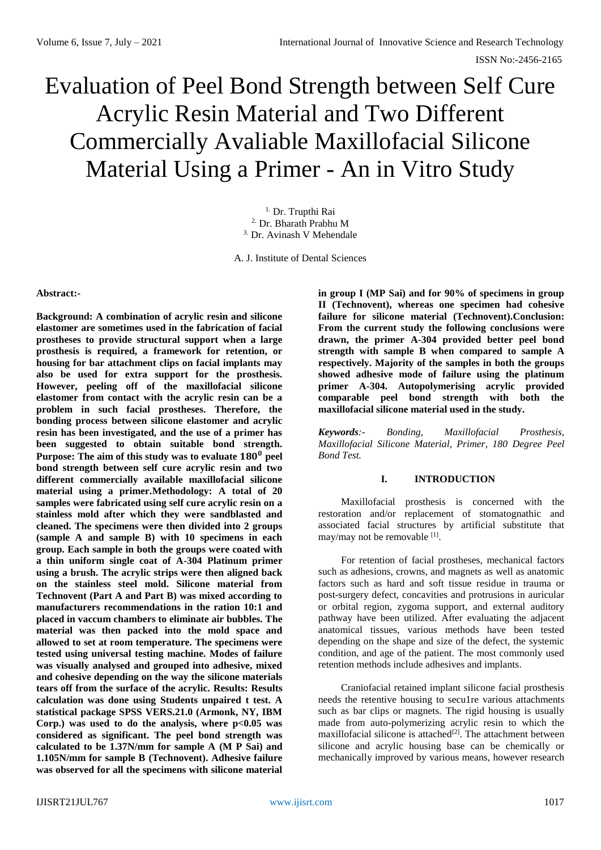# Evaluation of Peel Bond Strength between Self Cure Acrylic Resin Material and Two Different Commercially Avaliable Maxillofacial Silicone Material Using a Primer - An in Vitro Study

<sup>1.</sup> Dr. Trupthi Rai 2. Dr. Bharath Prabhu M 3. Dr. Avinash V Mehendale

A. J. Institute of Dental Sciences

### **Abstract:-**

**Background: A combination of acrylic resin and silicone elastomer are sometimes used in the fabrication of facial prostheses to provide structural support when a large prosthesis is required, a framework for retention, or housing for bar attachment clips on facial implants may also be used for extra support for the prosthesis. However, peeling off of the maxillofacial silicone elastomer from contact with the acrylic resin can be a problem in such facial prostheses. Therefore, the bonding process between silicone elastomer and acrylic resin has been investigated, and the use of a primer has been suggested to obtain suitable bond strength. Purpose: The aim of this study was to evaluate 180<sup>0</sup> peel bond strength between self cure acrylic resin and two different commercially available maxillofacial silicone material using a primer.Methodology: A total of 20 samples were fabricated using self cure acrylic resin on a stainless mold after which they were sandblasted and cleaned. The specimens were then divided into 2 groups (sample A and sample B) with 10 specimens in each group. Each sample in both the groups were coated with a thin uniform single coat of A-304 Platinum primer using a brush. The acrylic strips were then aligned back on the stainless steel mold. Silicone material from Technovent (Part A and Part B) was mixed according to manufacturers recommendations in the ration 10:1 and placed in vaccum chambers to eliminate air bubbles. The material was then packed into the mold space and allowed to set at room temperature. The specimens were tested using universal testing machine. Modes of failure was visually analysed and grouped into adhesive, mixed and cohesive depending on the way the silicone materials tears off from the surface of the acrylic. Results: Results calculation was done using Students unpaired t test. A statistical package SPSS VERS.21.0 (Armonk, NY, IBM Corp.) was used to do the analysis, where p<0.05 was considered as significant. The peel bond strength was calculated to be 1.37N/mm for sample A (M P Sai) and 1.105N/mm for sample B (Technovent). Adhesive failure was observed for all the specimens with silicone material** 

**in group I (MP Sai) and for 90% of specimens in group II (Technovent), whereas one specimen had cohesive failure for silicone material (Technovent).Conclusion: From the current study the following conclusions were drawn, the primer A-304 provided better peel bond strength with sample B when compared to sample A respectively. Majority of the samples in both the groups showed adhesive mode of failure using the platinum primer A-304. Autopolymerising acrylic provided comparable peel bond strength with both the maxillofacial silicone material used in the study.** 

*Keywords:- Bonding, Maxillofacial Prosthesis, Maxillofacial Silicone Material, Primer, 180 Degree Peel Bond Test.*

### **I. INTRODUCTION**

Maxillofacial prosthesis is concerned with the restoration and/or replacement of stomatognathic and associated facial structures by artificial substitute that may/may not be removable [1].

For retention of facial prostheses, mechanical factors such as adhesions, crowns, and magnets as well as anatomic factors such as hard and soft tissue residue in trauma or post-surgery defect, concavities and protrusions in auricular or orbital region, zygoma support, and external auditory pathway have been utilized. After evaluating the adjacent anatomical tissues, various methods have been tested depending on the shape and size of the defect, the systemic condition, and age of the patient. The most commonly used retention methods include adhesives and implants.

Craniofacial retained implant silicone facial prosthesis needs the retentive housing to secu1re various attachments such as bar clips or magnets. The rigid housing is usually made from auto-polymerizing acrylic resin to which the maxillofacial silicone is attached<sup>[2]</sup>. The attachment between silicone and acrylic housing base can be chemically or mechanically improved by various means, however research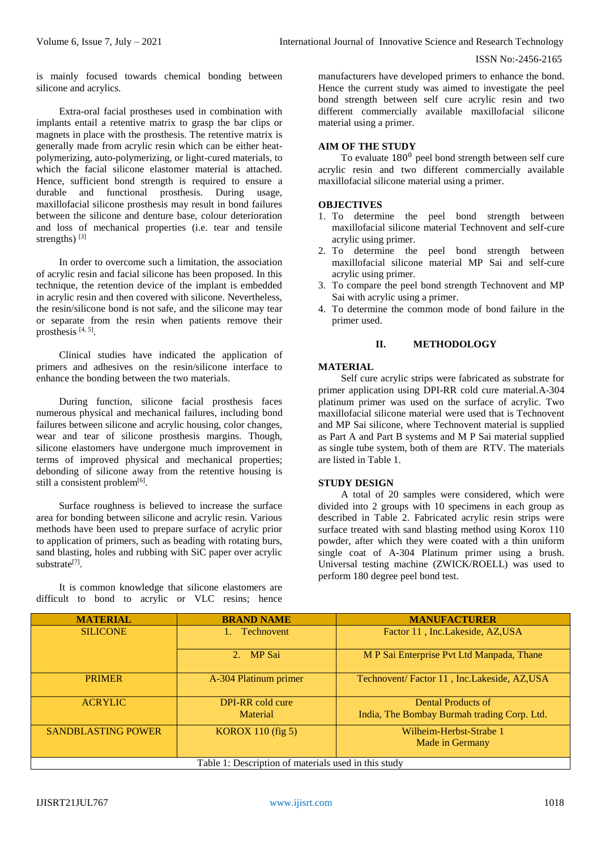is mainly focused towards chemical bonding between silicone and acrylics.

Extra-oral facial prostheses used in combination with implants entail a retentive matrix to grasp the bar clips or magnets in place with the prosthesis. The retentive matrix is generally made from acrylic resin which can be either heatpolymerizing, auto-polymerizing, or light-cured materials, to which the facial silicone elastomer material is attached. Hence, sufficient bond strength is required to ensure a durable and functional prosthesis. During usage, maxillofacial silicone prosthesis may result in bond failures between the silicone and denture base, colour deterioration and loss of mechanical properties (i.e. tear and tensile strengths)<sup>[3]</sup>

In order to overcome such a limitation, the association of acrylic resin and facial silicone has been proposed. In this technique, the retention device of the implant is embedded in acrylic resin and then covered with silicone. Nevertheless, the resin/silicone bond is not safe, and the silicone may tear or separate from the resin when patients remove their prosthesis  $[4, 5]$ .

Clinical studies have indicated the application of primers and adhesives on the resin/silicone interface to enhance the bonding between the two materials.

During function, silicone facial prosthesis faces numerous physical and mechanical failures, including bond failures between silicone and acrylic housing, color changes, wear and tear of silicone prosthesis margins. Though, silicone elastomers have undergone much improvement in terms of improved physical and mechanical properties; debonding of silicone away from the retentive housing is still a consistent problem<sup>[6]</sup>.

Surface roughness is believed to increase the surface area for bonding between silicone and acrylic resin. Various methods have been used to prepare surface of acrylic prior to application of primers, such as beading with rotating burs, sand blasting, holes and rubbing with SiC paper over acrylic substrate<sup>[7]</sup>.

It is common knowledge that silicone elastomers are difficult to bond to acrylic or VLC resins; hence manufacturers have developed primers to enhance the bond. Hence the current study was aimed to investigate the peel bond strength between self cure acrylic resin and two different commercially available maxillofacial silicone material using a primer.

### **AIM OF THE STUDY**

To evaluate  $180<sup>0</sup>$  peel bond strength between self cure acrylic resin and two different commercially available maxillofacial silicone material using a primer.

### **OBJECTIVES**

- 1. To determine the peel bond strength between maxillofacial silicone material Technovent and self-cure acrylic using primer.
- 2. To determine the peel bond strength between maxillofacial silicone material MP Sai and self-cure acrylic using primer.
- 3. To compare the peel bond strength Technovent and MP Sai with acrylic using a primer.
- 4. To determine the common mode of bond failure in the primer used.

### **II. METHODOLOGY**

### **MATERIAL**

Self cure acrylic strips were fabricated as substrate for primer application using DPI-RR cold cure material.A-304 platinum primer was used on the surface of acrylic. Two maxillofacial silicone material were used that is Technovent and MP Sai silicone, where Technovent material is supplied as Part A and Part B systems and M P Sai material supplied as single tube system, both of them are RTV. The materials are listed in Table 1.

# **STUDY DESIGN**

A total of 20 samples were considered, which were divided into 2 groups with 10 specimens in each group as described in Table 2. Fabricated acrylic resin strips were surface treated with sand blasting method using Korox 110 powder, after which they were coated with a thin uniform single coat of A-304 Platinum primer using a brush. Universal testing machine (ZWICK/ROELL) was used to perform 180 degree peel bond test.

| <b>MATERIAL</b>                                      | <b>BRAND NAME</b>     | <b>MANUFACTURER</b>                         |  |
|------------------------------------------------------|-----------------------|---------------------------------------------|--|
| <b>SILICONE</b>                                      | <b>Technovent</b>     | Factor 11, Inc.Lakeside, AZ,USA             |  |
|                                                      | 2. MP Sai             | M P Sai Enterprise Pvt Ltd Manpada, Thane   |  |
| <b>PRIMER</b>                                        | A-304 Platinum primer | Technovent/Factor 11, Inc.Lakeside, AZ, USA |  |
| <b>ACRYLIC</b>                                       | DPI-RR cold cure      | <b>Dental Products of</b>                   |  |
|                                                      | Material              | India, The Bombay Burmah trading Corp. Ltd. |  |
| <b>SANDBLASTING POWER</b>                            | KOROX 110 $(fig 5)$   | Wilheim-Herbst-Strabe 1                     |  |
|                                                      |                       | Made in Germany                             |  |
| Table 1: Description of materials used in this study |                       |                                             |  |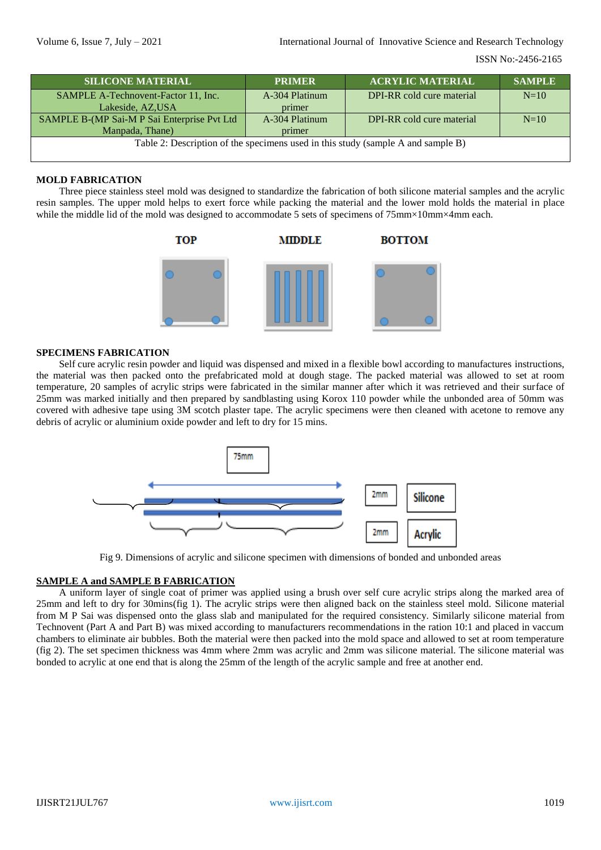| <b>SILICONE MATERIAL</b>                                                         | <b>PRIMER</b>  | <b>ACRYLIC MATERIAL</b>   | <b>SAMPLE</b> |  |
|----------------------------------------------------------------------------------|----------------|---------------------------|---------------|--|
| SAMPLE A-Technovent-Factor 11, Inc.                                              | A-304 Platinum | DPI-RR cold cure material | $N=10$        |  |
| Lakeside, AZ,USA                                                                 | primer         |                           |               |  |
| SAMPLE B-(MP Sai-M P Sai Enterprise Pvt Ltd                                      | A-304 Platinum | DPI-RR cold cure material | $N=10$        |  |
| Manpada, Thane)                                                                  | primer         |                           |               |  |
| Table 2: Description of the specimens used in this study (sample A and sample B) |                |                           |               |  |
|                                                                                  |                |                           |               |  |

### **MOLD FABRICATION**

Three piece stainless steel mold was designed to standardize the fabrication of both silicone material samples and the acrylic resin samples. The upper mold helps to exert force while packing the material and the lower mold holds the material in place while the middle lid of the mold was designed to accommodate 5 sets of specimens of 75mm×10mm×4mm each.



### **SPECIMENS FABRICATION**

Self cure acrylic resin powder and liquid was dispensed and mixed in a flexible bowl according to manufactures instructions, the material was then packed onto the prefabricated mold at dough stage. The packed material was allowed to set at room temperature, 20 samples of acrylic strips were fabricated in the similar manner after which it was retrieved and their surface of 25mm was marked initially and then prepared by sandblasting using Korox 110 powder while the unbonded area of 50mm was covered with adhesive tape using 3M scotch plaster tape. The acrylic specimens were then cleaned with acetone to remove any debris of acrylic or aluminium oxide powder and left to dry for 15 mins.



Fig 9. Dimensions of acrylic and silicone specimen with dimensions of bonded and unbonded areas

### **SAMPLE A and SAMPLE B FABRICATION**

A uniform layer of single coat of primer was applied using a brush over self cure acrylic strips along the marked area of 25mm and left to dry for 30mins(fig 1). The acrylic strips were then aligned back on the stainless steel mold. Silicone material from M P Sai was dispensed onto the glass slab and manipulated for the required consistency. Similarly silicone material from Technovent (Part A and Part B) was mixed according to manufacturers recommendations in the ration 10:1 and placed in vaccum chambers to eliminate air bubbles. Both the material were then packed into the mold space and allowed to set at room temperature (fig 2). The set specimen thickness was 4mm where 2mm was acrylic and 2mm was silicone material. The silicone material was bonded to acrylic at one end that is along the 25mm of the length of the acrylic sample and free at another end.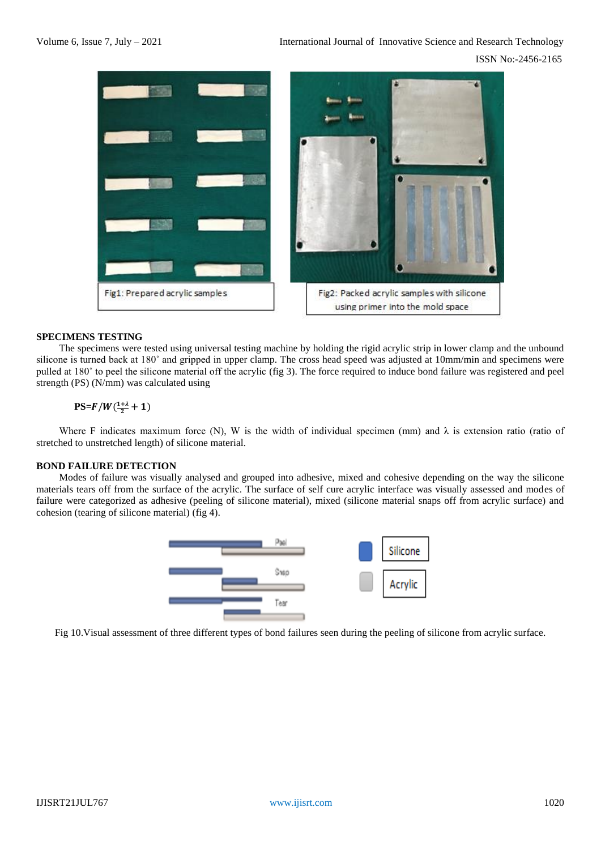

### **SPECIMENS TESTING**

The specimens were tested using universal testing machine by holding the rigid acrylic strip in lower clamp and the unbound silicone is turned back at 180˚ and gripped in upper clamp. The cross head speed was adjusted at 10mm/min and specimens were pulled at 180˚ to peel the silicone material off the acrylic (fig 3). The force required to induce bond failure was registered and peel strength (PS) (N/mm) was calculated using

# $\text{PS=}F/W(\frac{1+\lambda}{2}+1)$

Where F indicates maximum force (N), W is the width of individual specimen (mm) and  $\lambda$  is extension ratio (ratio of stretched to unstretched length) of silicone material.

### **BOND FAILURE DETECTION**

Modes of failure was visually analysed and grouped into adhesive, mixed and cohesive depending on the way the silicone materials tears off from the surface of the acrylic. The surface of self cure acrylic interface was visually assessed and modes of failure were categorized as adhesive (peeling of silicone material), mixed (silicone material snaps off from acrylic surface) and cohesion (tearing of silicone material) (fig 4).



Fig 10.Visual assessment of three different types of bond failures seen during the peeling of silicone from acrylic surface.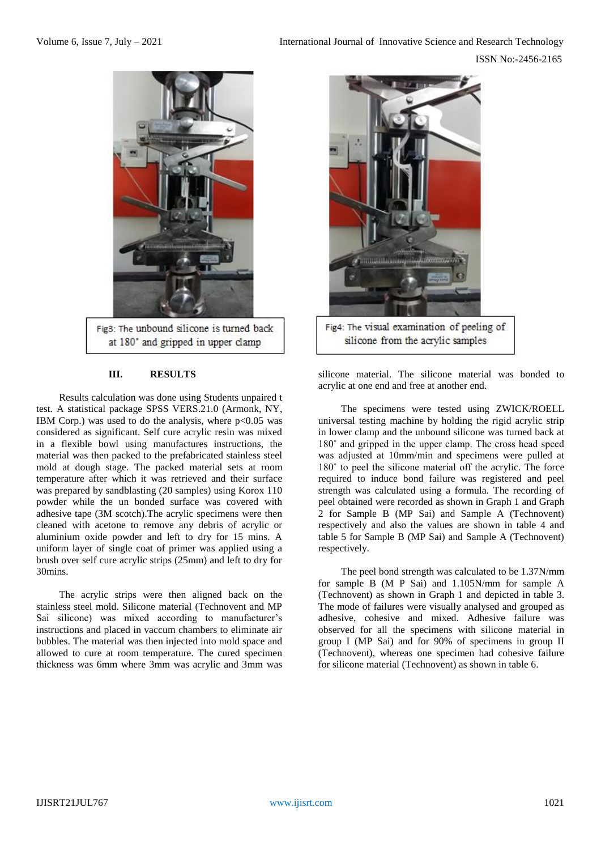

### **III. RESULTS**

Results calculation was done using Students unpaired t test. A statistical package SPSS VERS.21.0 (Armonk, NY, IBM Corp.) was used to do the analysis, where  $p<0.05$  was considered as significant. Self cure acrylic resin was mixed in a flexible bowl using manufactures instructions, the material was then packed to the prefabricated stainless steel mold at dough stage. The packed material sets at room temperature after which it was retrieved and their surface was prepared by sandblasting (20 samples) using Korox 110 powder while the un bonded surface was covered with adhesive tape (3M scotch).The acrylic specimens were then cleaned with acetone to remove any debris of acrylic or aluminium oxide powder and left to dry for 15 mins. A uniform layer of single coat of primer was applied using a brush over self cure acrylic strips (25mm) and left to dry for 30mins.

The acrylic strips were then aligned back on the stainless steel mold. Silicone material (Technovent and MP Sai silicone) was mixed according to manufacturer's instructions and placed in vaccum chambers to eliminate air bubbles. The material was then injected into mold space and allowed to cure at room temperature. The cured specimen thickness was 6mm where 3mm was acrylic and 3mm was



silicone from the acrylic samples

silicone material. The silicone material was bonded to acrylic at one end and free at another end.

The specimens were tested using ZWICK/ROELL universal testing machine by holding the rigid acrylic strip in lower clamp and the unbound silicone was turned back at 180˚ and gripped in the upper clamp. The cross head speed was adjusted at 10mm/min and specimens were pulled at 180˚ to peel the silicone material off the acrylic. The force required to induce bond failure was registered and peel strength was calculated using a formula. The recording of peel obtained were recorded as shown in Graph 1 and Graph 2 for Sample B (MP Sai) and Sample A (Technovent) respectively and also the values are shown in table 4 and table 5 for Sample B (MP Sai) and Sample A (Technovent) respectively.

The peel bond strength was calculated to be 1.37N/mm for sample B (M P Sai) and 1.105N/mm for sample A (Technovent) as shown in Graph 1 and depicted in table 3. The mode of failures were visually analysed and grouped as adhesive, cohesive and mixed. Adhesive failure was observed for all the specimens with silicone material in group I (MP Sai) and for 90% of specimens in group II (Technovent), whereas one specimen had cohesive failure for silicone material (Technovent) as shown in table 6.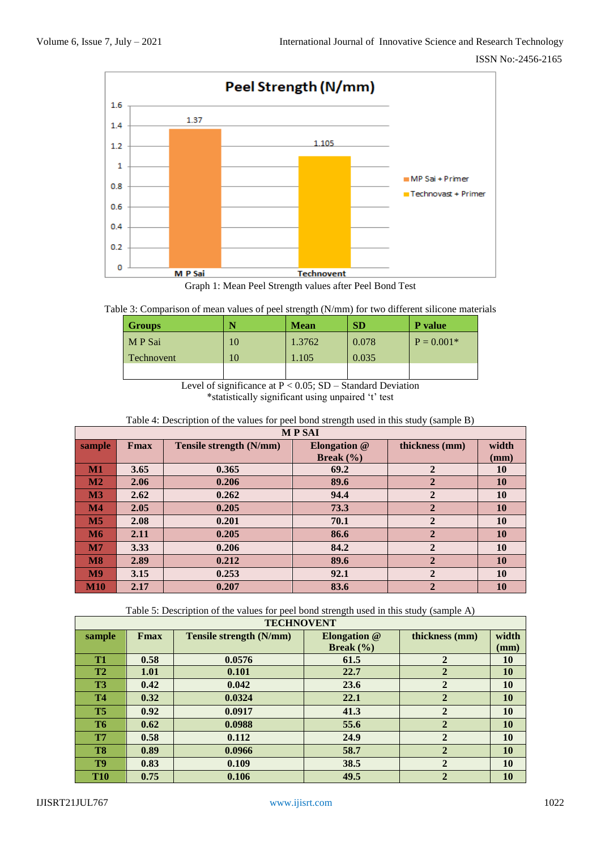

Graph 1: Mean Peel Strength values after Peel Bond Test

| Table 3: Comparison of mean values of peel strength (N/mm) for two different silicone materials |  |
|-------------------------------------------------------------------------------------------------|--|
|                                                                                                 |  |
|                                                                                                 |  |
|                                                                                                 |  |

| <b>Groups</b>     |    | <b>Mean</b> | <b>SD</b> | <b>P</b> value |
|-------------------|----|-------------|-----------|----------------|
| M P Sai           | 10 | 1.3762      | 0.078     | $P = 0.001*$   |
| <b>Technovent</b> | 10 | 1.105       | 0.035     |                |
|                   |    |             |           |                |

Level of significance at P < 0.05; SD – Standard Deviation

\*statistically significant using unpaired 't' test

| Table 4: Description of the values for peel bond strength used in this study (sample B) |
|-----------------------------------------------------------------------------------------|
|-----------------------------------------------------------------------------------------|

| <b>MPSAI</b>    |      |                         |                |                |       |
|-----------------|------|-------------------------|----------------|----------------|-------|
| sample          | Fmax | Tensile strength (N/mm) | Elongation $@$ | thickness (mm) | width |
|                 |      |                         | Break $(\% )$  |                | (mm)  |
| $M1$            | 3.65 | 0.365                   | 69.2           | $\overline{2}$ | 10    |
| $\mathbf{M2}$   | 2.06 | 0.206                   | 89.6           | $\overline{2}$ | 10    |
| $\mathbf{M}3$   | 2.62 | 0.262                   | 94.4           | $\overline{2}$ | 10    |
| $\mathbf{M}4$   | 2.05 | 0.205                   | 73.3           | $\overline{2}$ | 10    |
| M <sub>5</sub>  | 2.08 | 0.201                   | 70.1           | $\overline{2}$ | 10    |
| M6              | 2.11 | 0.205                   | 86.6           | $\overline{2}$ | 10    |
| M7              | 3.33 | 0.206                   | 84.2           | $\overline{2}$ | 10    |
| $\overline{M8}$ | 2.89 | 0.212                   | 89.6           | $\overline{2}$ | 10    |
| M <sub>9</sub>  | 3.15 | 0.253                   | 92.1           | $\overline{2}$ | 10    |
| <b>M10</b>      | 2.17 | 0.207                   | 83.6           | $\overline{2}$ | 10    |

Table 5: Description of the values for peel bond strength used in this study (sample A)

| <b>TECHNOVENT</b> |              |                                |                              |                |           |
|-------------------|--------------|--------------------------------|------------------------------|----------------|-----------|
| sample            | <b>F</b> max | <b>Tensile strength (N/mm)</b> | <b>Elongation</b> @          | thickness (mm) | width     |
|                   |              |                                | <b>Break</b> $(\frac{9}{6})$ |                | (mm)      |
| <b>T1</b>         | 0.58         | 0.0576                         | 61.5                         | $\overline{2}$ | 10        |
| <b>T2</b>         | 1.01         | 0.101                          | 22.7                         | $\mathbf{2}$   | <b>10</b> |
| <b>T3</b>         | 0.42         | 0.042                          | 23.6                         | $\mathbf{2}$   | 10        |
| <b>T4</b>         | 0.32         | 0.0324                         | 22.1                         | $\mathbf{2}$   | 10        |
| T <sub>5</sub>    | 0.92         | 0.0917                         | 41.3                         | $\mathbf{2}$   | <b>10</b> |
| <b>T6</b>         | 0.62         | 0.0988                         | 55.6                         | $\mathbf{2}$   | <b>10</b> |
| <b>T7</b>         | 0.58         | 0.112                          | 24.9                         | $\mathbf{2}$   | <b>10</b> |
| T <sub>8</sub>    | 0.89         | 0.0966                         | 58.7                         | $\mathbf 2$    | <b>10</b> |
| T <sub>9</sub>    | 0.83         | 0.109                          | 38.5                         | $\overline{2}$ | <b>10</b> |
| <b>T10</b>        | 0.75         | 0.106                          | 49.5                         | $\mathbf{2}$   | 10        |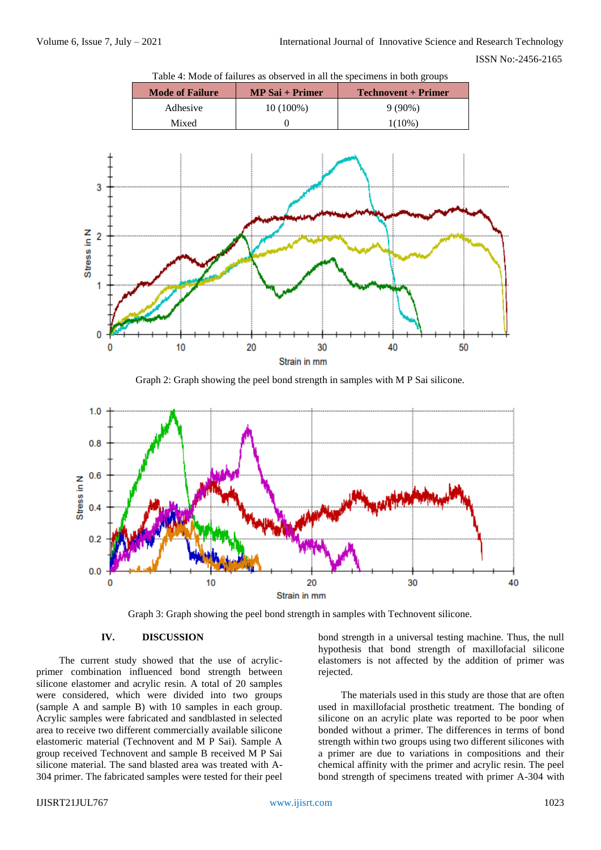3

Stress in N  $\overline{2}$ 

1

ſ 0

10

### ISSN No:-2456-2165



Table 4: Mode of failures as observed in all the specimens in both groups



30

40

50

20



Graph 3: Graph showing the peel bond strength in samples with Technovent silicone.

### **IV. DISCUSSION**

The current study showed that the use of acrylicprimer combination influenced bond strength between silicone elastomer and acrylic resin. A total of 20 samples were considered, which were divided into two groups (sample A and sample B) with 10 samples in each group. Acrylic samples were fabricated and sandblasted in selected area to receive two different commercially available silicone elastomeric material (Technovent and M P Sai). Sample A group received Technovent and sample B received M P Sai silicone material. The sand blasted area was treated with A-304 primer. The fabricated samples were tested for their peel

bond strength in a universal testing machine. Thus, the null hypothesis that bond strength of maxillofacial silicone elastomers is not affected by the addition of primer was rejected.

The materials used in this study are those that are often used in maxillofacial prosthetic treatment. The bonding of silicone on an acrylic plate was reported to be poor when bonded without a primer. The differences in terms of bond strength within two groups using two different silicones with a primer are due to variations in compositions and their chemical affinity with the primer and acrylic resin. The peel bond strength of specimens treated with primer A-304 with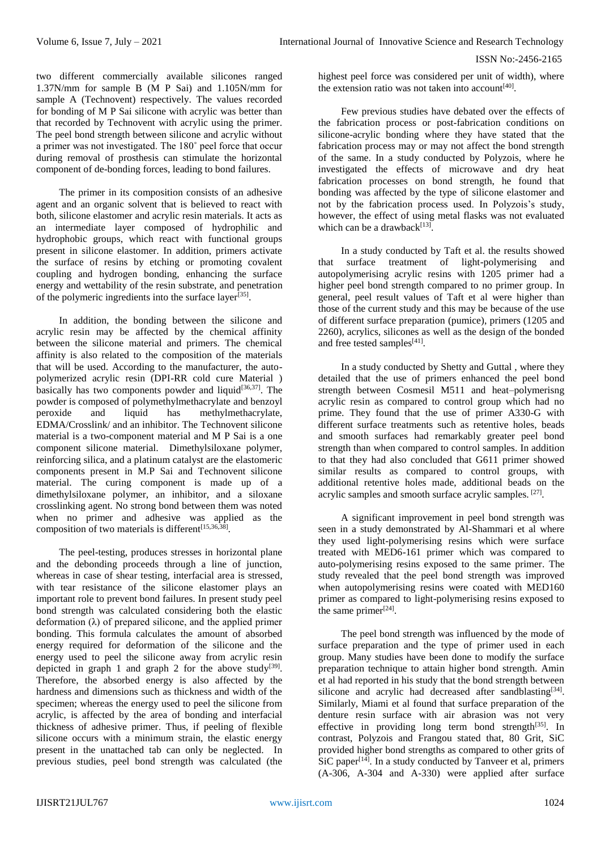two different commercially available silicones ranged 1.37N/mm for sample B (M P Sai) and 1.105N/mm for sample A (Technovent) respectively. The values recorded for bonding of M P Sai silicone with acrylic was better than that recorded by Technovent with acrylic using the primer. The peel bond strength between silicone and acrylic without a primer was not investigated. The 180˚ peel force that occur during removal of prosthesis can stimulate the horizontal component of de-bonding forces, leading to bond failures.

The primer in its composition consists of an adhesive agent and an organic solvent that is believed to react with both, silicone elastomer and acrylic resin materials. It acts as an intermediate layer composed of hydrophilic and hydrophobic groups, which react with functional groups present in silicone elastomer. In addition, primers activate the surface of resins by etching or promoting covalent coupling and hydrogen bonding, enhancing the surface energy and wettability of the resin substrate, and penetration of the polymeric ingredients into the surface layer $^{[35]}$ .

In addition, the bonding between the silicone and acrylic resin may be affected by the chemical affinity between the silicone material and primers. The chemical affinity is also related to the composition of the materials that will be used. According to the manufacturer, the autopolymerized acrylic resin (DPI-RR cold cure Material ) basically has two components powder and liquid<sup>[36,37]</sup>. The powder is composed of polymethylmethacrylate and benzoyl peroxide and liquid has methylmethacrylate, EDMA/Crosslink/ and an inhibitor. The Technovent silicone material is a two-component material and M P Sai is a one component silicone material. Dimethylsiloxane polymer, reinforcing silica, and a platinum catalyst are the elastomeric components present in M.P Sai and Technovent silicone material. The curing component is made up of a dimethylsiloxane polymer, an inhibitor, and a siloxane crosslinking agent. No strong bond between them was noted when no primer and adhesive was applied as the composition of two materials is different<sup>[15,36,38]</sup>.

The peel-testing, produces stresses in horizontal plane and the debonding proceeds through a line of junction, whereas in case of shear testing, interfacial area is stressed, with tear resistance of the silicone elastomer plays an important role to prevent bond failures. In present study peel bond strength was calculated considering both the elastic deformation (λ) of prepared silicone, and the applied primer bonding. This formula calculates the amount of absorbed energy required for deformation of the silicone and the energy used to peel the silicone away from acrylic resin depicted in graph 1 and graph 2 for the above study<sup>[39]</sup>. Therefore, the absorbed energy is also affected by the hardness and dimensions such as thickness and width of the specimen; whereas the energy used to peel the silicone from acrylic, is affected by the area of bonding and interfacial thickness of adhesive primer. Thus, if peeling of flexible silicone occurs with a minimum strain, the elastic energy present in the unattached tab can only be neglected. In previous studies, peel bond strength was calculated (the highest peel force was considered per unit of width), where the extension ratio was not taken into account $[40]$ .

Few previous studies have debated over the effects of the fabrication process or post-fabrication conditions on silicone-acrylic bonding where they have stated that the fabrication process may or may not affect the bond strength of the same. In a study conducted by Polyzois, where he investigated the effects of microwave and dry heat fabrication processes on bond strength, he found that bonding was affected by the type of silicone elastomer and not by the fabrication process used. In Polyzois's study, however, the effect of using metal flasks was not evaluated which can be a drawback $[13]$ .

In a study conducted by Taft et al. the results showed that surface treatment of light-polymerising and autopolymerising acrylic resins with 1205 primer had a higher peel bond strength compared to no primer group. In general, peel result values of Taft et al were higher than those of the current study and this may be because of the use of different surface preparation (pumice), primers (1205 and 2260), acrylics, silicones as well as the design of the bonded and free tested samples<sup>[41]</sup>.

In a study conducted by Shetty and Guttal , where they detailed that the use of primers enhanced the peel bond strength between Cosmesil M511 and heat–polymerisng acrylic resin as compared to control group which had no prime. They found that the use of primer A330-G with different surface treatments such as retentive holes, beads and smooth surfaces had remarkably greater peel bond strength than when compared to control samples. In addition to that they had also concluded that G611 primer showed similar results as compared to control groups, with additional retentive holes made, additional beads on the acrylic samples and smooth surface acrylic samples. [27].

A significant improvement in peel bond strength was seen in a study demonstrated by Al-Shammari et al where they used light-polymerising resins which were surface treated with MED6-161 primer which was compared to auto-polymerising resins exposed to the same primer. The study revealed that the peel bond strength was improved when autopolymerising resins were coated with MED160 primer as compared to light-polymerising resins exposed to the same primer $[24]$ .

The peel bond strength was influenced by the mode of surface preparation and the type of primer used in each group. Many studies have been done to modify the surface preparation technique to attain higher bond strength. Amin et al had reported in his study that the bond strength between silicone and acrylic had decreased after sandblasting<sup>[34]</sup>. Similarly, Miami et al found that surface preparation of the denture resin surface with air abrasion was not very effective in providing long term bond strength $^{[35]}$ . In contrast, Polyzois and Frangou stated that, 80 Grit, SiC provided higher bond strengths as compared to other grits of  $\overline{\text{SiC}}$  paper<sup>[14]</sup>. In a study conducted by Tanveer et al, primers (A-306, A-304 and A-330) were applied after surface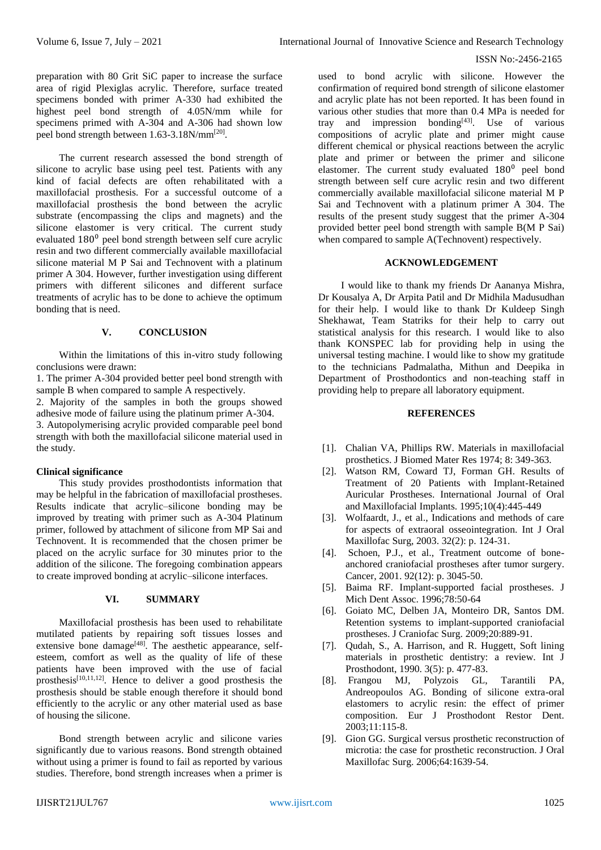### ISSN No:-2456-2165

preparation with 80 Grit SiC paper to increase the surface area of rigid Plexiglas acrylic. Therefore, surface treated specimens bonded with primer A-330 had exhibited the highest peel bond strength of 4.05N/mm while for specimens primed with A-304 and A-306 had shown low peel bond strength between 1.63-3.18N/mm<sup>[20]</sup>.

The current research assessed the bond strength of silicone to acrylic base using peel test. Patients with any kind of facial defects are often rehabilitated with a maxillofacial prosthesis. For a successful outcome of a maxillofacial prosthesis the bond between the acrylic substrate (encompassing the clips and magnets) and the silicone elastomer is very critical. The current study evaluated 180<sup>0</sup> peel bond strength between self cure acrylic resin and two different commercially available maxillofacial silicone material M P Sai and Technovent with a platinum primer A 304. However, further investigation using different primers with different silicones and different surface treatments of acrylic has to be done to achieve the optimum bonding that is need.

# **V. CONCLUSION**

Within the limitations of this in-vitro study following conclusions were drawn:

1. The primer A-304 provided better peel bond strength with sample B when compared to sample A respectively. 2. Majority of the samples in both the groups showed adhesive mode of failure using the platinum primer A-304. 3. Autopolymerising acrylic provided comparable peel bond strength with both the maxillofacial silicone material used in

### **Clinical significance**

the study.

This study provides prosthodontists information that may be helpful in the fabrication of maxillofacial prostheses. Results indicate that acrylic–silicone bonding may be improved by treating with primer such as A-304 Platinum primer, followed by attachment of silicone from MP Sai and Technovent. It is recommended that the chosen primer be placed on the acrylic surface for 30 minutes prior to the addition of the silicone. The foregoing combination appears to create improved bonding at acrylic–silicone interfaces.

### **VI. SUMMARY**

Maxillofacial prosthesis has been used to rehabilitate mutilated patients by repairing soft tissues losses and extensive bone damage<sup>[48]</sup>. The aesthetic appearance, selfesteem, comfort as well as the quality of life of these patients have been improved with the use of facial prosthesis<sup>[10,11,12]</sup>. Hence to deliver a good prosthesis the prosthesis should be stable enough therefore it should bond efficiently to the acrylic or any other material used as base of housing the silicone.

Bond strength between acrylic and silicone varies significantly due to various reasons. Bond strength obtained without using a primer is found to fail as reported by various studies. Therefore, bond strength increases when a primer is

used to bond acrylic with silicone. However the confirmation of required bond strength of silicone elastomer and acrylic plate has not been reported. It has been found in various other studies that more than 0.4 MPa is needed for tray and impression bonding $[43]$ . Use of various compositions of acrylic plate and primer might cause different chemical or physical reactions between the acrylic plate and primer or between the primer and silicone elastomer. The current study evaluated 180<sup>0</sup> peel bond strength between self cure acrylic resin and two different commercially available maxillofacial silicone material M P Sai and Technovent with a platinum primer A 304. The results of the present study suggest that the primer A-304 provided better peel bond strength with sample B(M P Sai) when compared to sample A(Technovent) respectively.

### **ACKNOWLEDGEMENT**

I would like to thank my friends Dr Aananya Mishra, Dr Kousalya A, Dr Arpita Patil and Dr Midhila Madusudhan for their help. I would like to thank Dr Kuldeep Singh Shekhawat, Team Statriks for their help to carry out statistical analysis for this research. I would like to also thank KONSPEC lab for providing help in using the universal testing machine. I would like to show my gratitude to the technicians Padmalatha, Mithun and Deepika in Department of Prosthodontics and non-teaching staff in providing help to prepare all laboratory equipment.

### **REFERENCES**

- [1]. Chalian VA, Phillips RW. Materials in maxillofacial prosthetics. J Biomed Mater Res 1974; 8: 349-363.
- [2]. Watson RM, Coward TJ, Forman GH. Results of Treatment of 20 Patients with Implant-Retained Auricular Prostheses. International Journal of Oral and Maxillofacial Implants. 1995;10(4):445-449
- [3]. Wolfaardt, J., et al., Indications and methods of care for aspects of extraoral osseointegration. Int J Oral Maxillofac Surg, 2003. 32(2): p. 124-31.
- [4]. Schoen, P.J., et al., Treatment outcome of boneanchored craniofacial prostheses after tumor surgery. Cancer, 2001. 92(12): p. 3045-50.
- [5]. Baima RF. Implant-supported facial prostheses. J Mich Dent Assoc. 1996;78:50-64
- [6]. Goiato MC, Delben JA, Monteiro DR, Santos DM. Retention systems to implant-supported craniofacial prostheses. J Craniofac Surg. 2009;20:889-91.
- [7]. Qudah, S., A. Harrison, and R. Huggett, Soft lining materials in prosthetic dentistry: a review. Int J Prosthodont, 1990. 3(5): p. 477-83.
- [8]. Frangou MJ, Polyzois GL, Tarantili PA, Andreopoulos AG. Bonding of silicone extra-oral elastomers to acrylic resin: the effect of primer composition. Eur J Prosthodont Restor Dent. 2003;11:115-8.
- [9]. Gion GG. Surgical versus prosthetic reconstruction of microtia: the case for prosthetic reconstruction. J Oral Maxillofac Surg. 2006;64:1639-54.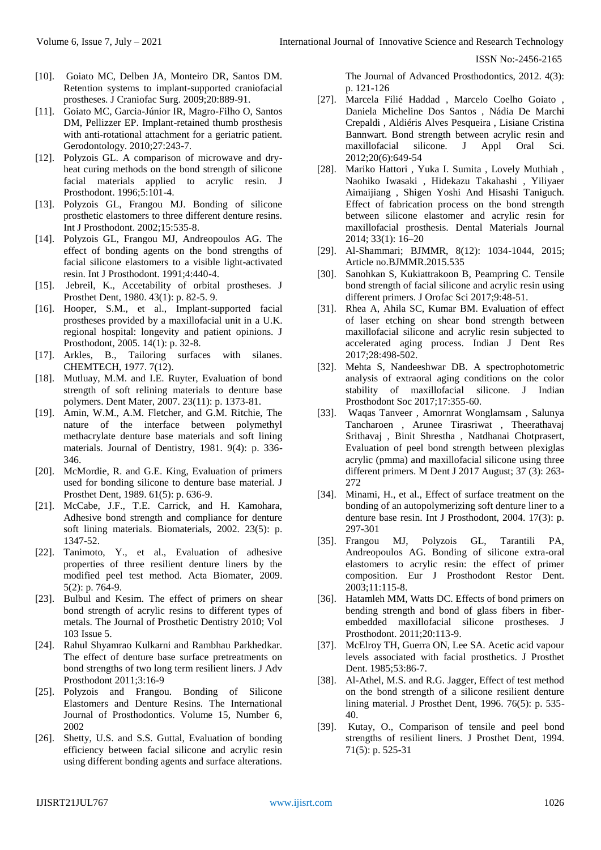ISSN No:-2456-2165

- [10]. Goiato MC, Delben JA, Monteiro DR, Santos DM. Retention systems to implant-supported craniofacial prostheses. J Craniofac Surg. 2009;20:889-91.
- [11]. Goiato MC, Garcia-Júnior IR, Magro-Filho O, Santos DM, Pellizzer EP. Implant-retained thumb prosthesis with anti-rotational attachment for a geriatric patient. Gerodontology. 2010;27:243-7.
- [12]. Polyzois GL. A comparison of microwave and dryheat curing methods on the bond strength of silicone facial materials applied to acrylic resin. J Prosthodont. 1996;5:101-4.
- [13]. Polyzois GL, Frangou MJ. Bonding of silicone prosthetic elastomers to three different denture resins. Int J Prosthodont. 2002;15:535-8.
- [14]. Polyzois GL, Frangou MJ, Andreopoulos AG. The effect of bonding agents on the bond strengths of facial silicone elastomers to a visible light-activated resin. Int J Prosthodont. 1991;4:440-4.
- [15]. Jebreil, K., Accetability of orbital prostheses. J Prosthet Dent, 1980. 43(1): p. 82-5. 9.
- [16]. Hooper, S.M., et al., Implant-supported facial prostheses provided by a maxillofacial unit in a U.K. regional hospital: longevity and patient opinions. J Prosthodont, 2005. 14(1): p. 32-8.
- [17]. Arkles, B., Tailoring surfaces with silanes. CHEMTECH, 1977. 7(12).
- [18]. Mutluay, M.M. and I.E. Ruyter, Evaluation of bond strength of soft relining materials to denture base polymers. Dent Mater, 2007. 23(11): p. 1373-81.
- [19]. Amin, W.M., A.M. Fletcher, and G.M. Ritchie, The nature of the interface between polymethyl methacrylate denture base materials and soft lining materials. Journal of Dentistry, 1981. 9(4): p. 336- 346.
- [20]. McMordie, R. and G.E. King, Evaluation of primers used for bonding silicone to denture base material. J Prosthet Dent, 1989. 61(5): p. 636-9.
- [21]. McCabe, J.F., T.E. Carrick, and H. Kamohara, Adhesive bond strength and compliance for denture soft lining materials. Biomaterials, 2002. 23(5): p. 1347-52.
- [22]. Tanimoto, Y., et al., Evaluation of adhesive properties of three resilient denture liners by the modified peel test method. Acta Biomater, 2009. 5(2): p. 764-9.
- [23]. Bulbul and Kesim. The effect of primers on shear bond strength of acrylic resins to different types of metals. The Journal of Prosthetic Dentistry 2010; Vol 103 Issue 5.
- [24]. Rahul Shyamrao Kulkarni and Rambhau Parkhedkar. The effect of denture base surface pretreatments on bond strengths of two long term resilient liners. J Adv Prosthodont 2011;3:16-9
- [25]. Polyzois and Frangou. Bonding of Silicone Elastomers and Denture Resins. The International Journal of Prosthodontics. Volume 15, Number 6, 2002
- [26]. Shetty, U.S. and S.S. Guttal, Evaluation of bonding efficiency between facial silicone and acrylic resin using different bonding agents and surface alterations.

The Journal of Advanced Prosthodontics, 2012. 4(3): p. 121-126

- [27]. Marcela Filié Haddad , Marcelo Coelho Goiato , Daniela Micheline Dos Santos , Nádia De Marchi Crepaldi , Aldiéris Alves Pesqueira , Lisiane Cristina Bannwart. Bond strength between acrylic resin and maxillofacial silicone. J Appl Oral Sci. 2012;20(6):649-54
- [28]. Mariko Hattori , Yuka I. Sumita , Lovely Muthiah , Naohiko Iwasaki , Hidekazu Takahashi , Yiliyaer Aimaijiang , Shigen Yoshi And Hisashi Taniguch. Effect of fabrication process on the bond strength between silicone elastomer and acrylic resin for maxillofacial prosthesis. Dental Materials Journal 2014; 33(1): 16–20
- [29]. Al-Shammari; BJMMR, 8(12): 1034-1044, 2015; Article no.BJMMR.2015.535
- [30]. Sanohkan S, Kukiattrakoon B, Peampring C. Tensile bond strength of facial silicone and acrylic resin using different primers. J Orofac Sci 2017;9:48-51.
- [31]. Rhea A, Ahila SC, Kumar BM. Evaluation of effect of laser etching on shear bond strength between maxillofacial silicone and acrylic resin subjected to accelerated aging process. Indian J Dent Res 2017;28:498-502.
- [32]. Mehta S, Nandeeshwar DB. A spectrophotometric analysis of extraoral aging conditions on the color stability of maxillofacial silicone. J Indian Prosthodont Soc 2017;17:355-60.
- [33]. Waqas Tanveer , Amornrat Wonglamsam , Salunya Tancharoen , Arunee Tirasriwat , Theerathavaj Srithavaj , Binit Shrestha , Natdhanai Chotprasert, Evaluation of peel bond strength between plexiglas acrylic (pmma) and maxillofacial silicone using three different primers. M Dent J 2017 August; 37 (3): 263-  $272$
- [34]. Minami, H., et al., Effect of surface treatment on the bonding of an autopolymerizing soft denture liner to a denture base resin. Int J Prosthodont, 2004. 17(3): p. 297-301
- [35]. Frangou MJ, Polyzois GL, Tarantili PA, Andreopoulos AG. Bonding of silicone extra-oral elastomers to acrylic resin: the effect of primer composition. Eur J Prosthodont Restor Dent. 2003;11:115-8.
- [36]. Hatamleh MM, Watts DC. Effects of bond primers on bending strength and bond of glass fibers in fiberembedded maxillofacial silicone prostheses. J Prosthodont. 2011;20:113-9.
- [37]. McElroy TH, Guerra ON, Lee SA. Acetic acid vapour levels associated with facial prosthetics. J Prosthet Dent. 1985;53:86-7.
- [38]. Al-Athel, M.S. and R.G. Jagger, Effect of test method on the bond strength of a silicone resilient denture lining material. J Prosthet Dent, 1996. 76(5): p. 535- 40.
- [39]. Kutay, O., Comparison of tensile and peel bond strengths of resilient liners. J Prosthet Dent, 1994. 71(5): p. 525-31